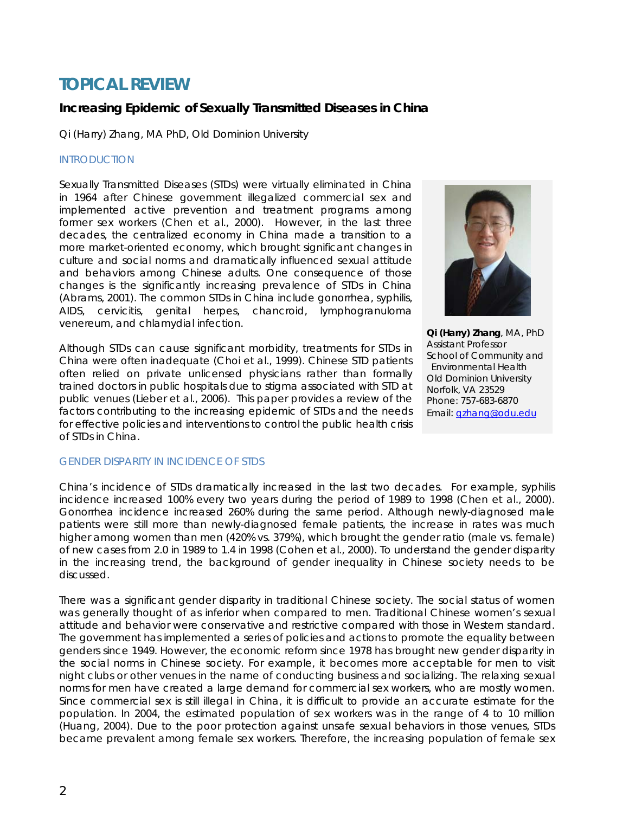# **TOPICAL REVIEW**

## **Increasing Epidemic of Sexually Transmitted Diseases in China**

*Qi (Harry) Zhang, MA PhD, Old Dominion University* 

#### INTRODUCTION

Sexually Transmitted Diseases (STDs) were virtually eliminated in China in 1964 after Chinese government illegalized commercial sex and implemented active prevention and treatment programs among former sex workers (Chen et al., 2000). However, in the last three decades, the centralized economy in China made a transition to a more market-oriented economy, which brought significant changes in culture and social norms and dramatically influenced sexual attitude and behaviors among Chinese adults. One consequence of those changes is the significantly increasing prevalence of STDs in China (Abrams, 2001). The common STDs in China include gonorrhea, syphilis, AIDS, cervicitis, genital herpes, chancroid, lymphogranuloma venereum, and chlamydial infection.

Although STDs can cause significant morbidity, treatments for STDs in China were often inadequate (Choi et al., 1999). Chinese STD patients often relied on private unlicensed physicians rather than formally trained doctors in public hospitals due to stigma associated with STD at public venues (Lieber et al., 2006). This paper provides a review of the factors contributing to the increasing epidemic of STDs and the needs for effective policies and interventions to control the public health crisis of STDs in China.



**Qi (Harry) Zhang**, MA, PhD Assistant Professor School of Community and Environmental Health Old Dominion University Norfolk, VA 23529 Phone: 757-683-6870 Email: [qzhang@odu.edu](mailto:qzhang@odu.edu)

#### GENDER DISPARITY IN INCIDENCE OF STDS

China's incidence of STDs dramatically increased in the last two decades. For example, syphilis incidence increased 100% every two years during the period of 1989 to 1998 (Chen et al., 2000). Gonorrhea incidence increased 260% during the same period. Although newly-diagnosed male patients were still more than newly-diagnosed female patients, the increase in rates was much higher among women than men (420% vs. 379%), which brought the gender ratio (male vs. female) of new cases from 2.0 in 1989 to 1.4 in 1998 (Cohen et al., 2000). To understand the gender disparity in the increasing trend, the background of gender inequality in Chinese society needs to be discussed.

There was a significant gender disparity in traditional Chinese society. The social status of women was generally thought of as inferior when compared to men. Traditional Chinese women's sexual attitude and behavior were conservative and restrictive compared with those in Western standard. The government has implemented a series of policies and actions to promote the equality between genders since 1949. However, the economic reform since 1978 has brought new gender disparity in the social norms in Chinese society. For example, it becomes more acceptable for men to visit night clubs or other venues in the name of conducting business and socializing. The relaxing sexual norms for men have created a large demand for commercial sex workers, who are mostly women. Since commercial sex is still illegal in China, it is difficult to provide an accurate estimate for the population. In 2004, the estimated population of sex workers was in the range of 4 to 10 million (Huang, 2004). Due to the poor protection against unsafe sexual behaviors in those venues, STDs became prevalent among female sex workers. Therefore, the increasing population of female sex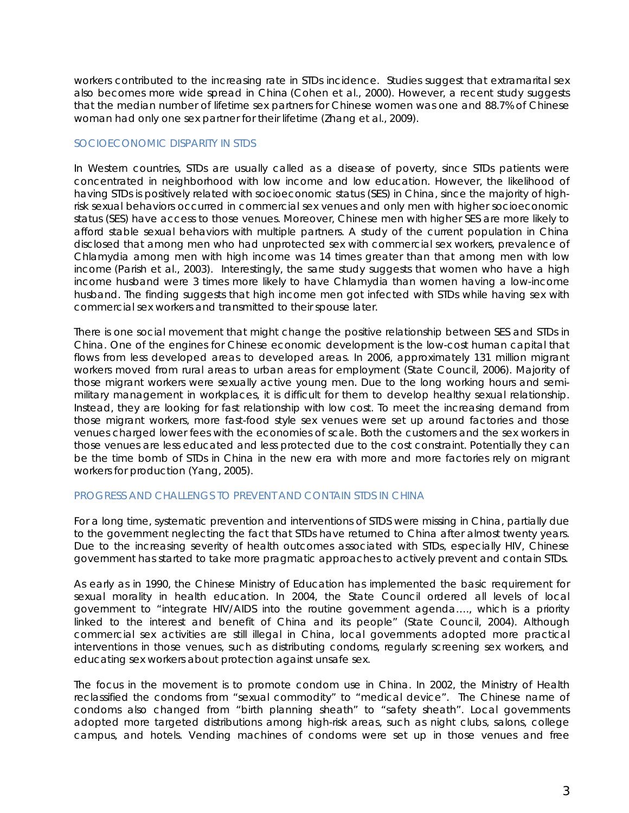workers contributed to the increasing rate in STDs incidence. Studies suggest that extramarital sex also becomes more wide spread in China (Cohen et al., 2000). However, a recent study suggests that the median number of lifetime sex partners for Chinese women was one and 88.7% of Chinese woman had only one sex partner for their lifetime (Zhang et al., 2009).

## SOCIOECONOMIC DISPARITY IN STDS

In Western countries, STDs are usually called as a disease of poverty, since STDs patients were concentrated in neighborhood with low income and low education. However, the likelihood of having STDs is positively related with socioeconomic status (SES) in China, since the majority of highrisk sexual behaviors occurred in commercial sex venues and only men with higher socioeconomic status (SES) have access to those venues. Moreover, Chinese men with higher SES are more likely to afford stable sexual behaviors with multiple partners. A study of the current population in China disclosed that among men who had unprotected sex with commercial sex workers, prevalence of Chlamydia among men with high income was 14 times greater than that among men with low income (Parish et al., 2003). Interestingly, the same study suggests that women who have a high income husband were 3 times more likely to have Chlamydia than women having a low-income husband. The finding suggests that high income men got infected with STDs while having sex with commercial sex workers and transmitted to their spouse later.

There is one social movement that might change the positive relationship between SES and STDs in China. One of the engines for Chinese economic development is the low-cost human capital that flows from less developed areas to developed areas. In 2006, approximately 131 million migrant workers moved from rural areas to urban areas for employment (State Council, 2006). Majority of those migrant workers were sexually active young men. Due to the long working hours and semimilitary management in workplaces, it is difficult for them to develop healthy sexual relationship. Instead, they are looking for fast relationship with low cost. To meet the increasing demand from those migrant workers, more fast-food style sex venues were set up around factories and those venues charged lower fees with the economies of scale. Both the customers and the sex workers in those venues are less educated and less protected due to the cost constraint. Potentially they can be the time bomb of STDs in China in the new era with more and more factories rely on migrant workers for production (Yang, 2005).

#### PROGRESS AND CHALLENGS TO PREVENT AND CONTAIN STDS IN CHINA

For a long time, systematic prevention and interventions of STDS were missing in China, partially due to the government neglecting the fact that STDs have returned to China after almost twenty years. Due to the increasing severity of health outcomes associated with STDs, especially HIV, Chinese government has started to take more pragmatic approaches to actively prevent and contain STDs.

As early as in 1990, the Chinese Ministry of Education has implemented the basic requirement for sexual morality in health education. In 2004, the State Council ordered all levels of local government to "integrate HIV/AIDS into the routine government agenda…., which is a priority linked to the interest and benefit of China and its people" (State Council, 2004). Although commercial sex activities are still illegal in China, local governments adopted more practical interventions in those venues, such as distributing condoms, regularly screening sex workers, and educating sex workers about protection against unsafe sex.

The focus in the movement is to promote condom use in China. In 2002, the Ministry of Health reclassified the condoms from "sexual commodity" to "medical device". The Chinese name of condoms also changed from "birth planning sheath" to "safety sheath". Local governments adopted more targeted distributions among high-risk areas, such as night clubs, salons, college campus, and hotels. Vending machines of condoms were set up in those venues and free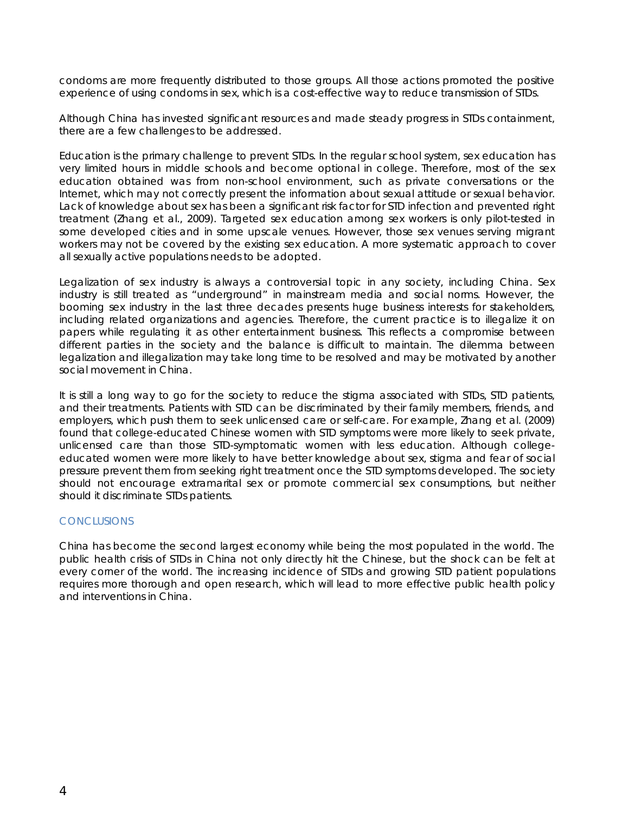condoms are more frequently distributed to those groups. All those actions promoted the positive experience of using condoms in sex, which is a cost-effective way to reduce transmission of STDs.

Although China has invested significant resources and made steady progress in STDs containment, there are a few challenges to be addressed.

Education is the primary challenge to prevent STDs. In the regular school system, sex education has very limited hours in middle schools and become optional in college. Therefore, most of the sex education obtained was from non-school environment, such as private conversations or the Internet, which may not correctly present the information about sexual attitude or sexual behavior. Lack of knowledge about sex has been a significant risk factor for STD infection and prevented right treatment (Zhang et al., 2009). Targeted sex education among sex workers is only pilot-tested in some developed cities and in some upscale venues. However, those sex venues serving migrant workers may not be covered by the existing sex education. A more systematic approach to cover all sexually active populations needs to be adopted.

Legalization of sex industry is always a controversial topic in any society, including China. Sex industry is still treated as "underground" in mainstream media and social norms. However, the booming sex industry in the last three decades presents huge business interests for stakeholders, including related organizations and agencies. Therefore, the current practice is to illegalize it on papers while regulating it as other entertainment business. This reflects a compromise between different parties in the society and the balance is difficult to maintain. The dilemma between legalization and illegalization may take long time to be resolved and may be motivated by another social movement in China.

It is still a long way to go for the society to reduce the stigma associated with STDs, STD patients, and their treatments. Patients with STD can be discriminated by their family members, friends, and employers, which push them to seek unlicensed care or self-care. For example, Zhang et al. (2009) found that college-educated Chinese women with STD symptoms were more likely to seek private, unlicensed care than those STD-symptomatic women with less education. Although collegeeducated women were more likely to have better knowledge about sex, stigma and fear of social pressure prevent them from seeking right treatment once the STD symptoms developed. The society should not encourage extramarital sex or promote commercial sex consumptions, but neither should it discriminate STDs patients.

#### **CONCLUSIONS**

China has become the second largest economy while being the most populated in the world. The public health crisis of STDs in China not only directly hit the Chinese, but the shock can be felt at every corner of the world. The increasing incidence of STDs and growing STD patient populations requires more thorough and open research, which will lead to more effective public health policy and interventions in China.